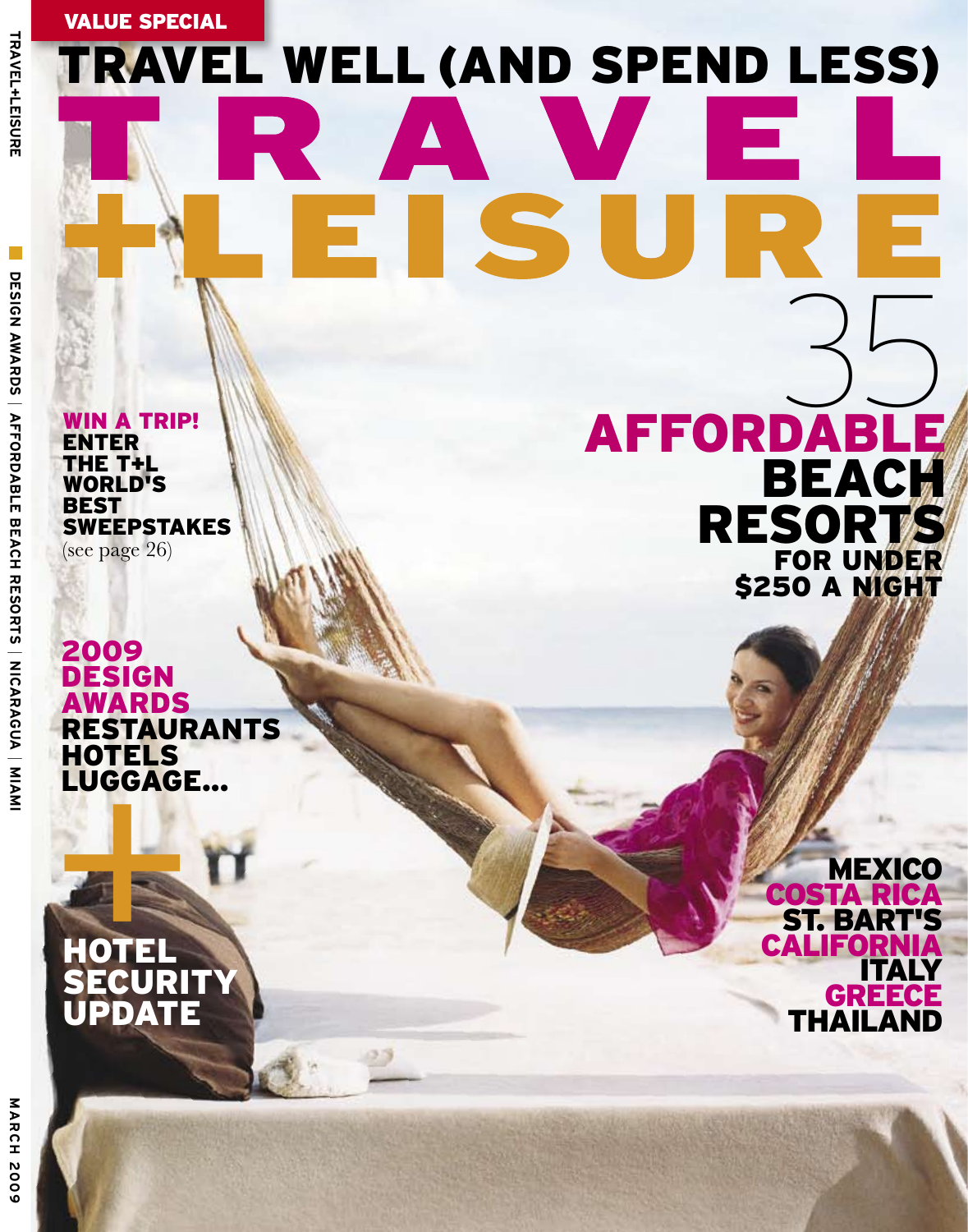Value special

## travel well (AND spend less)

S

WIN A TRIP! **ENTER** the T+L WORLD'S **BEST SWEEPSTAKES** (see page 26)

HOTELS<br>LUGGAGE...<br>
+ OTEL<br>
SECURITY 2009 **DESIGN AWARDS RESTAURANTS HOTELS** luggage...

ww.travelandleisure.com a and keyword: travelandleisurelisurelisurelisurelisurelisurelisurelisurelisurelisurelisurelisurelisurelisurel

**HOTEL** 

**UPDATE** 

for under **\$250 A NIGHT AFFORDAB**  $35$ BEACH **RESORT** 

5

**MEXICO** Costa Rica St. Bart's **CALIFORN** Italy **GREECE THAILA**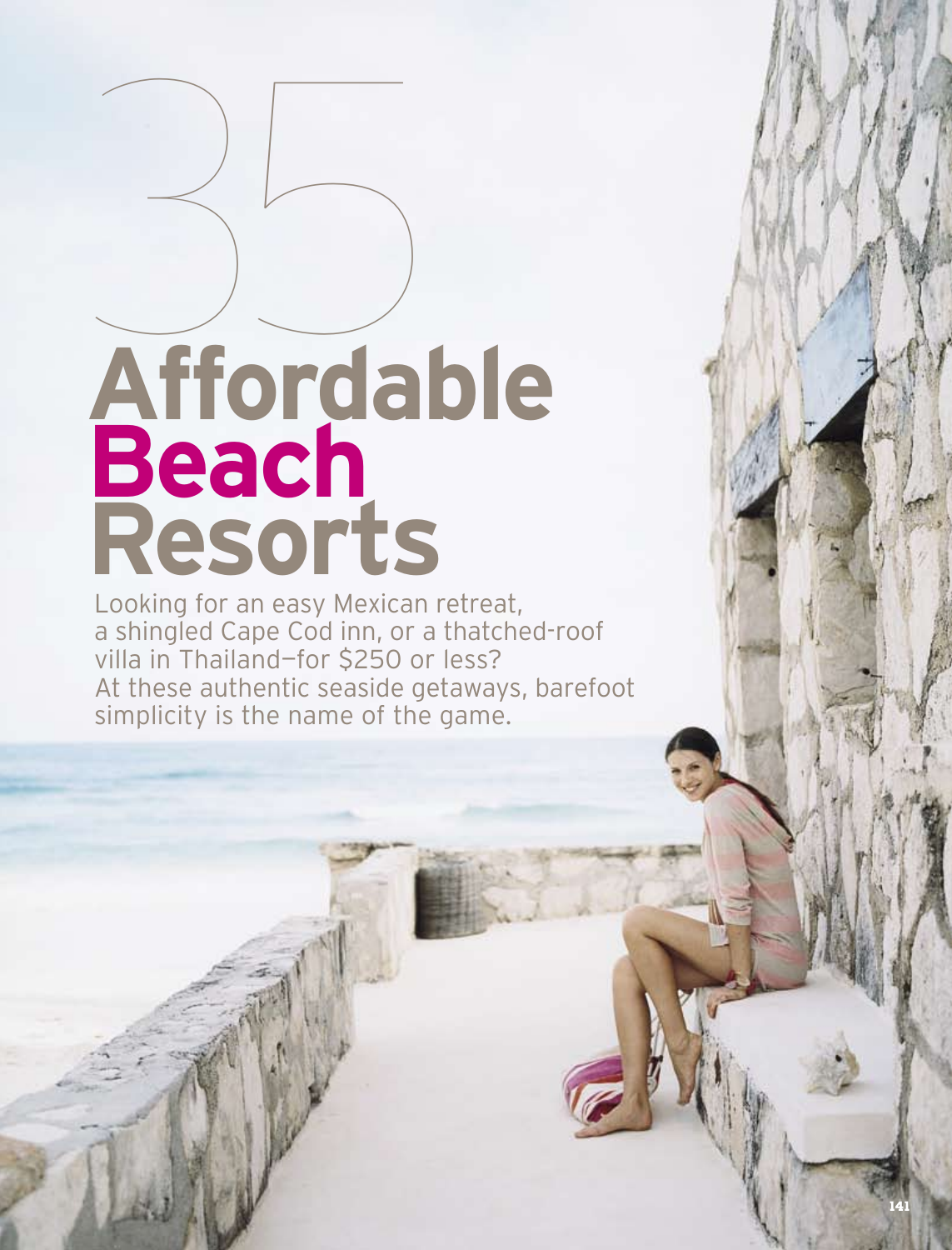# $35$ **Affordable Beach Resorts**

Looking for an easy Mexican retreat, a shingled Cape Cod inn, or a thatched-roof villa in Thailand—for \$250 or less? At these authentic seaside getaways, barefoot simplicity is the name of the game.